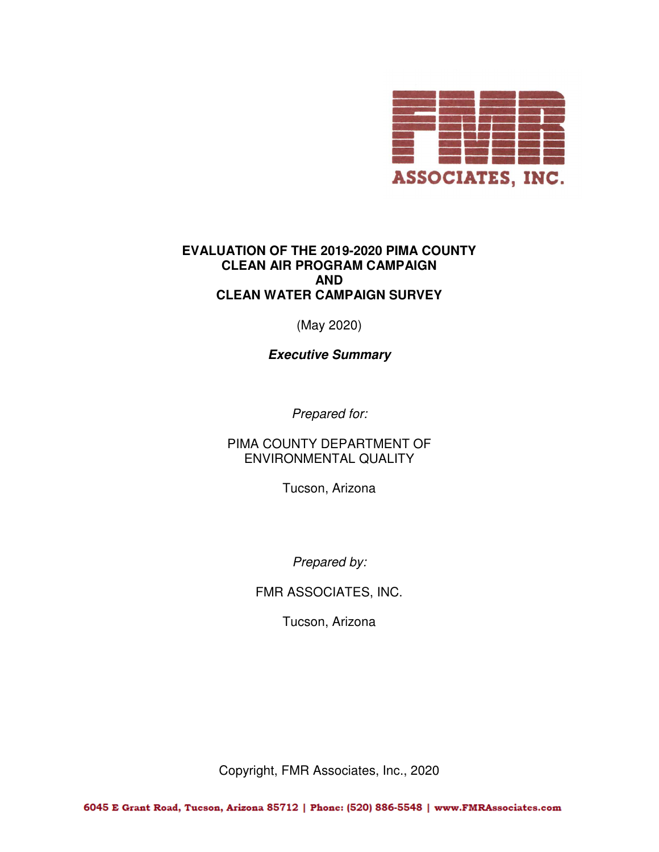

# **EVALUATION OF THE 2019-2020 PIMA COUNTY CLEAN AIR PROGRAM CAMPAIGN AND CLEAN WATER CAMPAIGN SURVEY**

(May 2020)

**Executive Summary**

Prepared for:

PIMA COUNTY DEPARTMENT OF ENVIRONMENTAL QUALITY

Tucson, Arizona

Prepared by:

FMR ASSOCIATES, INC.

Tucson, Arizona

Copyright, FMR Associates, Inc., 2020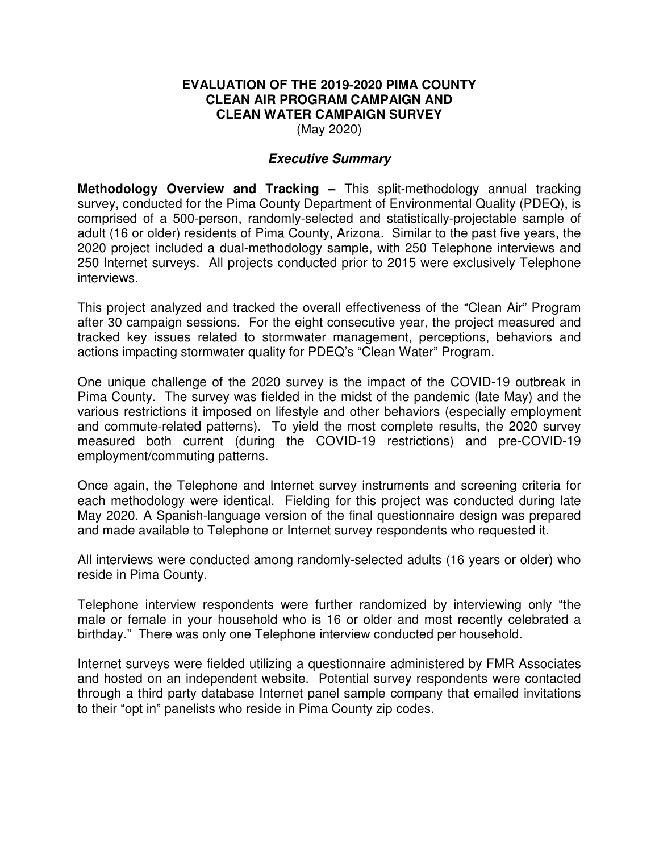# **EVALUATION OF THE 2019-2020 PIMA COUNTY CLEAN AIR PROGRAM CAMPAIGN AND CLEAN WATER CAMPAIGN SURVEY**

(May 2020)

### **Executive Summary**

**Methodology Overview and Tracking –** This split-methodology annual tracking survey, conducted for the Pima County Department of Environmental Quality (PDEQ), is comprised of a 500-person, randomly-selected and statistically-projectable sample of adult (16 or older) residents of Pima County, Arizona. Similar to the past five years, the 2020 project included a dual-methodology sample, with 250 Telephone interviews and 250 Internet surveys. All projects conducted prior to 2015 were exclusively Telephone interviews.

This project analyzed and tracked the overall effectiveness of the "Clean Air" Program after 30 campaign sessions. For the eight consecutive year, the project measured and tracked key issues related to stormwater management, perceptions, behaviors and actions impacting stormwater quality for PDEQ's "Clean Water" Program.

One unique challenge of the 2020 survey is the impact of the COVID-19 outbreak in Pima County. The survey was fielded in the midst of the pandemic (late May) and the various restrictions it imposed on lifestyle and other behaviors (especially employment and commute-related patterns). To yield the most complete results, the 2020 survey measured both current (during the COVID-19 restrictions) and pre-COVID-19 employment/commuting patterns.

Once again, the Telephone and Internet survey instruments and screening criteria for each methodology were identical. Fielding for this project was conducted during late May 2020. A Spanish-language version of the final questionnaire design was prepared and made available to Telephone or Internet survey respondents who requested it.

All interviews were conducted among randomly-selected adults (16 years or older) who reside in Pima County.

Telephone interview respondents were further randomized by interviewing only "the male or female in your household who is 16 or older and most recently celebrated a birthday." There was only one Telephone interview conducted per household.

Internet surveys were fielded utilizing a questionnaire administered by FMR Associates and hosted on an independent website. Potential survey respondents were contacted through a third party database Internet panel sample company that emailed invitations to their "opt in" panelists who reside in Pima County zip codes.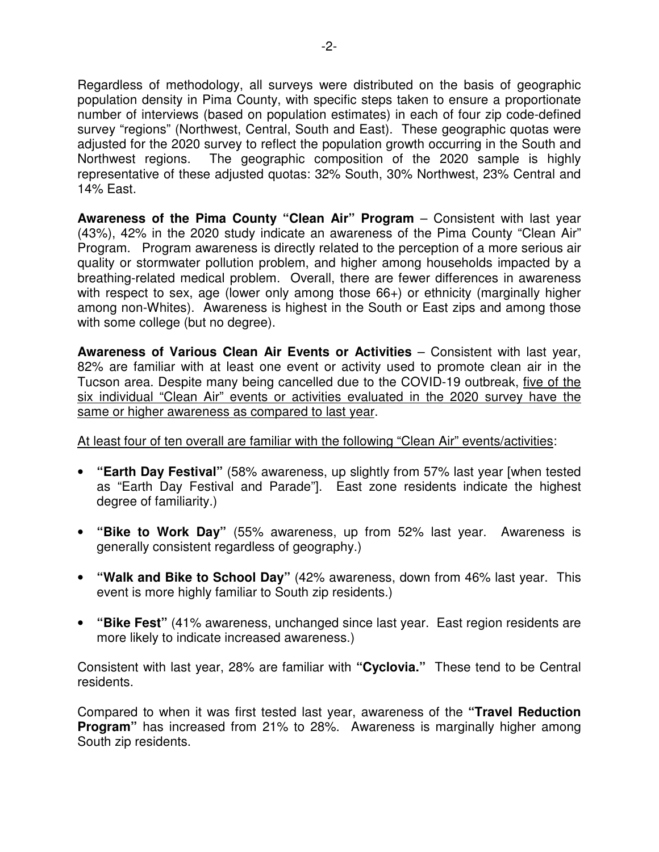Regardless of methodology, all surveys were distributed on the basis of geographic population density in Pima County, with specific steps taken to ensure a proportionate number of interviews (based on population estimates) in each of four zip code-defined survey "regions" (Northwest, Central, South and East). These geographic quotas were adjusted for the 2020 survey to reflect the population growth occurring in the South and Northwest regions. The geographic composition of the 2020 sample is highly representative of these adjusted quotas: 32% South, 30% Northwest, 23% Central and 14% East.

**Awareness of the Pima County "Clean Air" Program** – Consistent with last year (43%), 42% in the 2020 study indicate an awareness of the Pima County "Clean Air" Program. Program awareness is directly related to the perception of a more serious air quality or stormwater pollution problem, and higher among households impacted by a breathing-related medical problem. Overall, there are fewer differences in awareness with respect to sex, age (lower only among those 66+) or ethnicity (marginally higher among non-Whites). Awareness is highest in the South or East zips and among those with some college (but no degree).

**Awareness of Various Clean Air Events or Activities** – Consistent with last year, 82% are familiar with at least one event or activity used to promote clean air in the Tucson area. Despite many being cancelled due to the COVID-19 outbreak, five of the six individual "Clean Air" events or activities evaluated in the 2020 survey have the same or higher awareness as compared to last year.

# At least four of ten overall are familiar with the following "Clean Air" events/activities:

- **"Earth Day Festival"** (58% awareness, up slightly from 57% last year [when tested as "Earth Day Festival and Parade"]. East zone residents indicate the highest degree of familiarity.)
- **"Bike to Work Day"** (55% awareness, up from 52% last year. Awareness is generally consistent regardless of geography.)
- **"Walk and Bike to School Day"** (42% awareness, down from 46% last year. This event is more highly familiar to South zip residents.)
- **"Bike Fest"** (41% awareness, unchanged since last year. East region residents are more likely to indicate increased awareness.)

Consistent with last year, 28% are familiar with **"Cyclovia."** These tend to be Central residents.

Compared to when it was first tested last year, awareness of the **"Travel Reduction Program"** has increased from 21% to 28%. Awareness is marginally higher among South zip residents.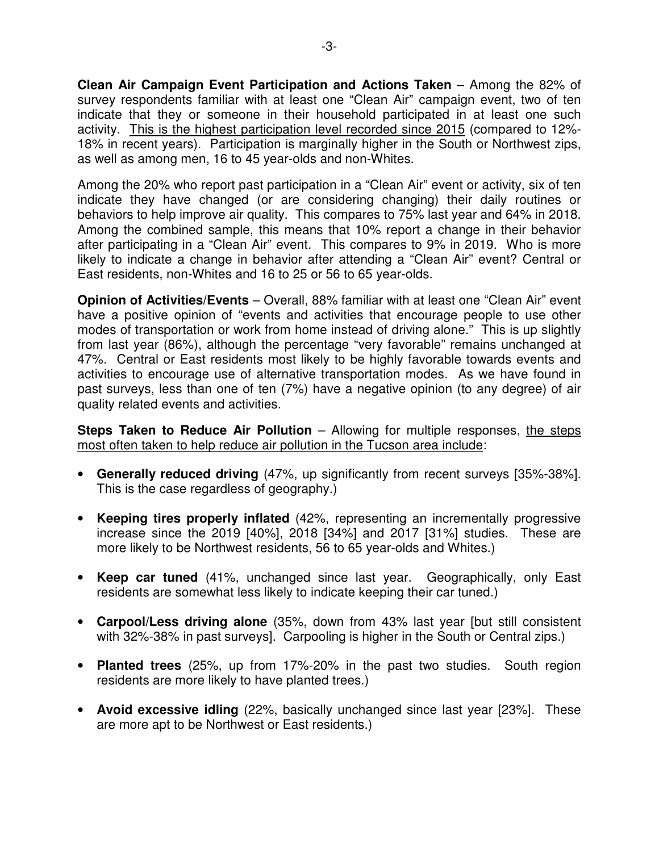**Clean Air Campaign Event Participation and Actions Taken** – Among the 82% of survey respondents familiar with at least one "Clean Air" campaign event, two of ten indicate that they or someone in their household participated in at least one such activity. This is the highest participation level recorded since 2015 (compared to 12%- 18% in recent years). Participation is marginally higher in the South or Northwest zips, as well as among men, 16 to 45 year-olds and non-Whites.

Among the 20% who report past participation in a "Clean Air" event or activity, six of ten indicate they have changed (or are considering changing) their daily routines or behaviors to help improve air quality. This compares to 75% last year and 64% in 2018. Among the combined sample, this means that 10% report a change in their behavior after participating in a "Clean Air" event. This compares to 9% in 2019. Who is more likely to indicate a change in behavior after attending a "Clean Air" event? Central or East residents, non-Whites and 16 to 25 or 56 to 65 year-olds.

**Opinion of Activities/Events** – Overall, 88% familiar with at least one "Clean Air" event have a positive opinion of "events and activities that encourage people to use other modes of transportation or work from home instead of driving alone." This is up slightly from last year (86%), although the percentage "very favorable" remains unchanged at 47%. Central or East residents most likely to be highly favorable towards events and activities to encourage use of alternative transportation modes. As we have found in past surveys, less than one of ten (7%) have a negative opinion (to any degree) of air quality related events and activities.

**Steps Taken to Reduce Air Pollution** – Allowing for multiple responses, the steps most often taken to help reduce air pollution in the Tucson area include:

- **Generally reduced driving** (47%, up significantly from recent surveys [35%-38%]. This is the case regardless of geography.)
- **Keeping tires properly inflated** (42%, representing an incrementally progressive increase since the 2019 [40%], 2018 [34%] and 2017 [31%] studies. These are more likely to be Northwest residents, 56 to 65 year-olds and Whites.)
- **Keep car tuned** (41%, unchanged since last year. Geographically, only East residents are somewhat less likely to indicate keeping their car tuned.)
- **Carpool/Less driving alone** (35%, down from 43% last year [but still consistent with 32%-38% in past surveys]. Carpooling is higher in the South or Central zips.)
- **Planted trees** (25%, up from 17%-20% in the past two studies. South region residents are more likely to have planted trees.)
- **Avoid excessive idling** (22%, basically unchanged since last year [23%]. These are more apt to be Northwest or East residents.)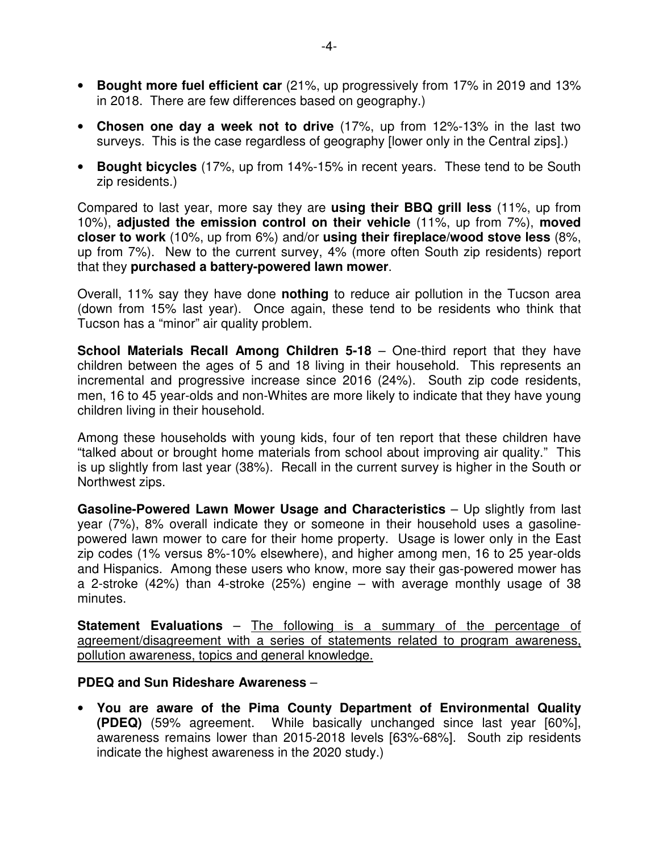- **Bought more fuel efficient car** (21%, up progressively from 17% in 2019 and 13% in 2018. There are few differences based on geography.)
- **Chosen one day a week not to drive** (17%, up from 12%-13% in the last two surveys. This is the case regardless of geography [lower only in the Central zips].)
- **Bought bicycles** (17%, up from 14%-15% in recent years. These tend to be South zip residents.)

Compared to last year, more say they are **using their BBQ grill less** (11%, up from 10%), **adjusted the emission control on their vehicle** (11%, up from 7%), **moved closer to work** (10%, up from 6%) and/or **using their fireplace/wood stove less** (8%, up from 7%). New to the current survey, 4% (more often South zip residents) report that they **purchased a battery-powered lawn mower**.

Overall, 11% say they have done **nothing** to reduce air pollution in the Tucson area (down from 15% last year). Once again, these tend to be residents who think that Tucson has a "minor" air quality problem.

**School Materials Recall Among Children 5-18** – One-third report that they have children between the ages of 5 and 18 living in their household. This represents an incremental and progressive increase since 2016 (24%). South zip code residents, men, 16 to 45 year-olds and non-Whites are more likely to indicate that they have young children living in their household.

Among these households with young kids, four of ten report that these children have "talked about or brought home materials from school about improving air quality." This is up slightly from last year (38%). Recall in the current survey is higher in the South or Northwest zips.

**Gasoline-Powered Lawn Mower Usage and Characteristics – Up slightly from last** year (7%), 8% overall indicate they or someone in their household uses a gasolinepowered lawn mower to care for their home property. Usage is lower only in the East zip codes (1% versus 8%-10% elsewhere), and higher among men, 16 to 25 year-olds and Hispanics. Among these users who know, more say their gas-powered mower has a 2-stroke (42%) than 4-stroke (25%) engine – with average monthly usage of 38 minutes.

**Statement Evaluations** – The following is a summary of the percentage of agreement/disagreement with a series of statements related to program awareness, pollution awareness, topics and general knowledge.

# **PDEQ and Sun Rideshare Awareness** –

• **You are aware of the Pima County Department of Environmental Quality (PDEQ)** (59% agreement. While basically unchanged since last year [60%], awareness remains lower than 2015-2018 levels [63%-68%]. South zip residents indicate the highest awareness in the 2020 study.)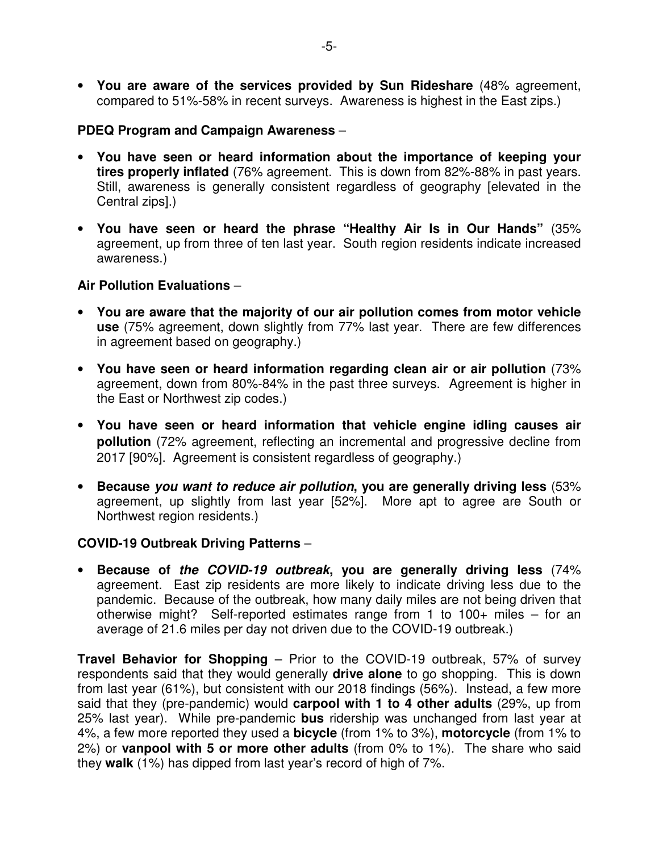• **You are aware of the services provided by Sun Rideshare** (48% agreement, compared to 51%-58% in recent surveys. Awareness is highest in the East zips.)

### **PDEQ Program and Campaign Awareness** –

- **You have seen or heard information about the importance of keeping your tires properly inflated** (76% agreement. This is down from 82%-88% in past years. Still, awareness is generally consistent regardless of geography [elevated in the Central zips].)
- **You have seen or heard the phrase "Healthy Air Is in Our Hands"** (35% agreement, up from three of ten last year. South region residents indicate increased awareness.)

#### **Air Pollution Evaluations** –

- **You are aware that the majority of our air pollution comes from motor vehicle use** (75% agreement, down slightly from 77% last year. There are few differences in agreement based on geography.)
- **You have seen or heard information regarding clean air or air pollution** (73% agreement, down from 80%-84% in the past three surveys. Agreement is higher in the East or Northwest zip codes.)
- **You have seen or heard information that vehicle engine idling causes air pollution** (72% agreement, reflecting an incremental and progressive decline from 2017 [90%]. Agreement is consistent regardless of geography.)
- **Because you want to reduce air pollution, you are generally driving less** (53% agreement, up slightly from last year [52%]. More apt to agree are South or Northwest region residents.)

# **COVID-19 Outbreak Driving Patterns** –

• **Because of the COVID-19 outbreak, you are generally driving less** (74% agreement. East zip residents are more likely to indicate driving less due to the pandemic. Because of the outbreak, how many daily miles are not being driven that otherwise might? Self-reported estimates range from 1 to 100+ miles – for an average of 21.6 miles per day not driven due to the COVID-19 outbreak.)

**Travel Behavior for Shopping** – Prior to the COVID-19 outbreak, 57% of survey respondents said that they would generally **drive alone** to go shopping. This is down from last year (61%), but consistent with our 2018 findings (56%). Instead, a few more said that they (pre-pandemic) would **carpool with 1 to 4 other adults** (29%, up from 25% last year). While pre-pandemic **bus** ridership was unchanged from last year at 4%, a few more reported they used a **bicycle** (from 1% to 3%), **motorcycle** (from 1% to 2%) or **vanpool with 5 or more other adults** (from 0% to 1%). The share who said they **walk** (1%) has dipped from last year's record of high of 7%.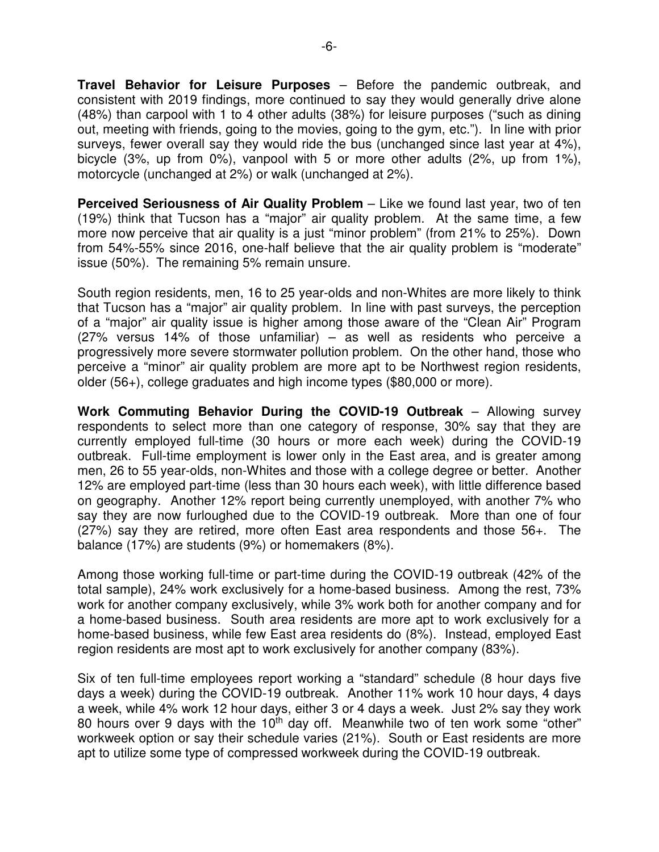**Travel Behavior for Leisure Purposes** – Before the pandemic outbreak, and consistent with 2019 findings, more continued to say they would generally drive alone (48%) than carpool with 1 to 4 other adults (38%) for leisure purposes ("such as dining out, meeting with friends, going to the movies, going to the gym, etc."). In line with prior surveys, fewer overall say they would ride the bus (unchanged since last year at 4%), bicycle (3%, up from 0%), vanpool with 5 or more other adults (2%, up from 1%), motorcycle (unchanged at 2%) or walk (unchanged at 2%).

**Perceived Seriousness of Air Quality Problem** – Like we found last year, two of ten (19%) think that Tucson has a "major" air quality problem. At the same time, a few more now perceive that air quality is a just "minor problem" (from 21% to 25%). Down from 54%-55% since 2016, one-half believe that the air quality problem is "moderate" issue (50%). The remaining 5% remain unsure.

South region residents, men, 16 to 25 year-olds and non-Whites are more likely to think that Tucson has a "major" air quality problem. In line with past surveys, the perception of a "major" air quality issue is higher among those aware of the "Clean Air" Program (27% versus 14% of those unfamiliar) – as well as residents who perceive a progressively more severe stormwater pollution problem. On the other hand, those who perceive a "minor" air quality problem are more apt to be Northwest region residents, older (56+), college graduates and high income types (\$80,000 or more).

**Work Commuting Behavior During the COVID-19 Outbreak** – Allowing survey respondents to select more than one category of response, 30% say that they are currently employed full-time (30 hours or more each week) during the COVID-19 outbreak. Full-time employment is lower only in the East area, and is greater among men, 26 to 55 year-olds, non-Whites and those with a college degree or better. Another 12% are employed part-time (less than 30 hours each week), with little difference based on geography. Another 12% report being currently unemployed, with another 7% who say they are now furloughed due to the COVID-19 outbreak. More than one of four (27%) say they are retired, more often East area respondents and those 56+. The balance (17%) are students (9%) or homemakers (8%).

Among those working full-time or part-time during the COVID-19 outbreak (42% of the total sample), 24% work exclusively for a home-based business. Among the rest, 73% work for another company exclusively, while 3% work both for another company and for a home-based business. South area residents are more apt to work exclusively for a home-based business, while few East area residents do (8%). Instead, employed East region residents are most apt to work exclusively for another company (83%).

Six of ten full-time employees report working a "standard" schedule (8 hour days five days a week) during the COVID-19 outbreak. Another 11% work 10 hour days, 4 days a week, while 4% work 12 hour days, either 3 or 4 days a week. Just 2% say they work 80 hours over 9 days with the  $10<sup>th</sup>$  day off. Meanwhile two of ten work some "other" workweek option or say their schedule varies (21%). South or East residents are more apt to utilize some type of compressed workweek during the COVID-19 outbreak.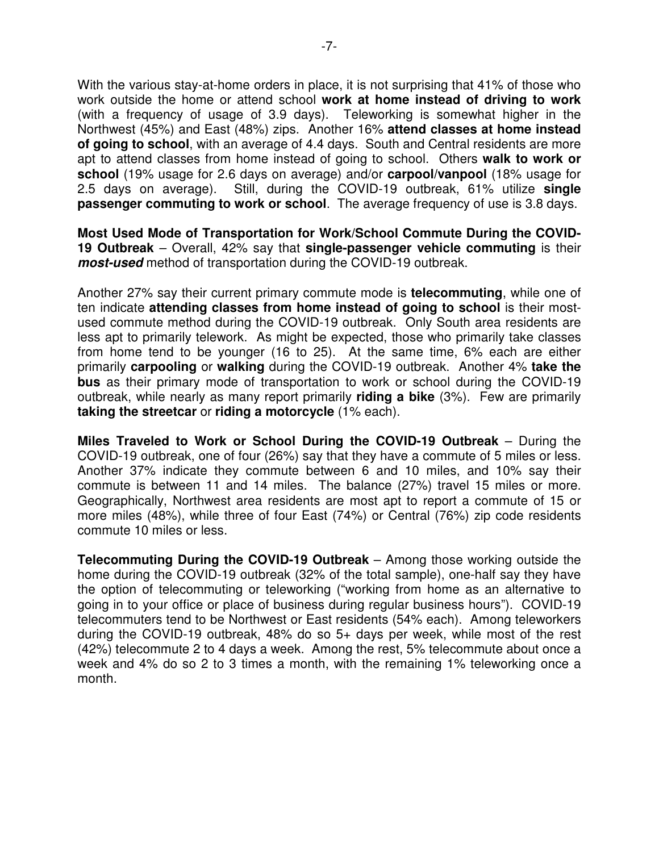With the various stay-at-home orders in place, it is not surprising that 41% of those who work outside the home or attend school **work at home instead of driving to work** (with a frequency of usage of 3.9 days). Teleworking is somewhat higher in the Northwest (45%) and East (48%) zips. Another 16% **attend classes at home instead of going to school**, with an average of 4.4 days. South and Central residents are more apt to attend classes from home instead of going to school. Others **walk to work or school** (19% usage for 2.6 days on average) and/or **carpool/vanpool** (18% usage for 2.5 days on average). Still, during the COVID-19 outbreak, 61% utilize **single passenger commuting to work or school**. The average frequency of use is 3.8 days.

**Most Used Mode of Transportation for Work/School Commute During the COVID-19 Outbreak** – Overall, 42% say that **single-passenger vehicle commuting** is their **most-used** method of transportation during the COVID-19 outbreak.

Another 27% say their current primary commute mode is **telecommuting**, while one of ten indicate **attending classes from home instead of going to school** is their mostused commute method during the COVID-19 outbreak. Only South area residents are less apt to primarily telework. As might be expected, those who primarily take classes from home tend to be younger (16 to 25). At the same time, 6% each are either primarily **carpooling** or **walking** during the COVID-19 outbreak. Another 4% **take the bus** as their primary mode of transportation to work or school during the COVID-19 outbreak, while nearly as many report primarily **riding a bike** (3%). Few are primarily **taking the streetcar** or **riding a motorcycle** (1% each).

**Miles Traveled to Work or School During the COVID-19 Outbreak** – During the COVID-19 outbreak, one of four (26%) say that they have a commute of 5 miles or less. Another 37% indicate they commute between 6 and 10 miles, and 10% say their commute is between 11 and 14 miles. The balance (27%) travel 15 miles or more. Geographically, Northwest area residents are most apt to report a commute of 15 or more miles (48%), while three of four East (74%) or Central (76%) zip code residents commute 10 miles or less.

**Telecommuting During the COVID-19 Outbreak** – Among those working outside the home during the COVID-19 outbreak (32% of the total sample), one-half say they have the option of telecommuting or teleworking ("working from home as an alternative to going in to your office or place of business during regular business hours"). COVID-19 telecommuters tend to be Northwest or East residents (54% each). Among teleworkers during the COVID-19 outbreak, 48% do so 5+ days per week, while most of the rest (42%) telecommute 2 to 4 days a week. Among the rest, 5% telecommute about once a week and 4% do so 2 to 3 times a month, with the remaining 1% teleworking once a month.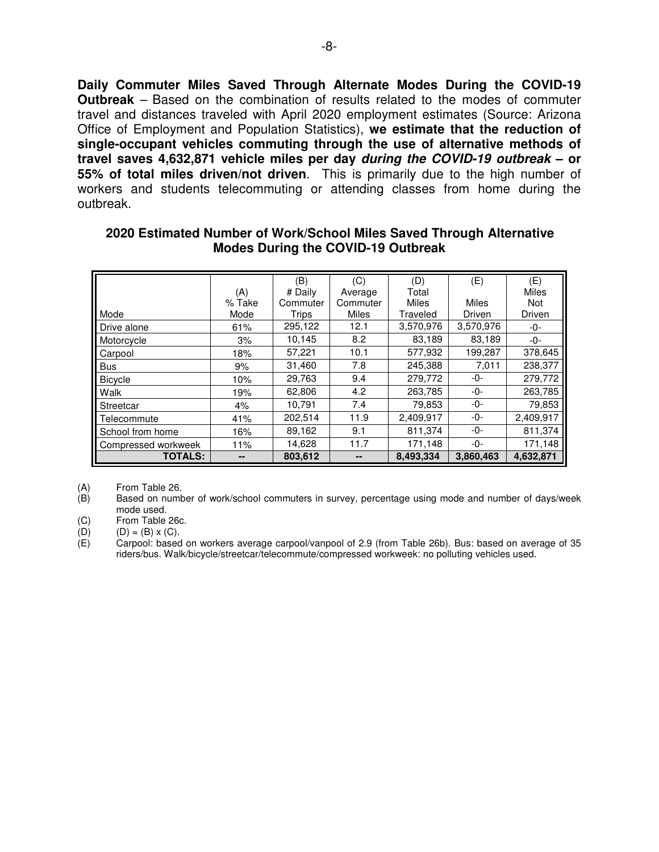**Daily Commuter Miles Saved Through Alternate Modes During the COVID-19 Outbreak** – Based on the combination of results related to the modes of commuter travel and distances traveled with April 2020 employment estimates (Source: Arizona Office of Employment and Population Statistics), **we estimate that the reduction of single-occupant vehicles commuting through the use of alternative methods of travel saves 4,632,871 vehicle miles per day during the COVID-19 outbreak – or 55% of total miles driven/not driven**. This is primarily due to the high number of workers and students telecommuting or attending classes from home during the outbreak.

|                     |        | (B)      | (C)          | (D)          | (E)          | (E)          |
|---------------------|--------|----------|--------------|--------------|--------------|--------------|
|                     | (A)    | # Daily  | Average      | Total        |              | <b>Miles</b> |
|                     | % Take | Commuter | Commuter     | <b>Miles</b> | <b>Miles</b> | <b>Not</b>   |
| Mode                | Mode   | Trips    | <b>Miles</b> | Traveled     | Driven       | Driven       |
| Drive alone         | 61%    | 295,122  | 12.1         | 3,570,976    | 3,570,976    | -0-          |
| Motorcycle          | 3%     | 10,145   | 8.2          | 83,189       | 83,189       | -0-          |
| Carpool             | 18%    | 57,221   | 10.1         | 577,932      | 199,287      | 378,645      |
| <b>Bus</b>          | 9%     | 31,460   | 7.8          | 245,388      | 7,011        | 238,377      |
| Bicycle             | 10%    | 29,763   | 9.4          | 279,772      | -0-          | 279,772      |
| <b>Walk</b>         | 19%    | 62,806   | 4.2          | 263,785      | -0-          | 263,785      |
| Streetcar           | 4%     | 10,791   | 7.4          | 79,853       | -0-          | 79,853       |
| l Telecommute       | 41%    | 202,514  | 11.9         | 2,409,917    | -0-          | 2,409,917    |
| School from home    | 16%    | 89,162   | 9.1          | 811,374      | -0-          | 811,374      |
| Compressed workweek | 11%    | 14,628   | 11.7         | 171,148      | -0-          | 171,148      |
| <b>TOTALS:</b>      | --     | 803,612  | --           | 8,493,334    | 3,860,463    | 4,632,871    |

#### **2020 Estimated Number of Work/School Miles Saved Through Alternative Modes During the COVID-19 Outbreak**

(A) From Table 26.<br>(B) Based on numb

Based on number of work/school commuters in survey, percentage using mode and number of days/week mode used.

(C) From Table 26c.<br>(D)  $(D) = (B) \times (C)$ . (D)  $(D) = (B) \times (C)$ .<br>
(E) Carpool: based

Carpool: based on workers average carpool/vanpool of 2.9 (from Table 26b). Bus: based on average of 35 riders/bus. Walk/bicycle/streetcar/telecommute/compressed workweek: no polluting vehicles used.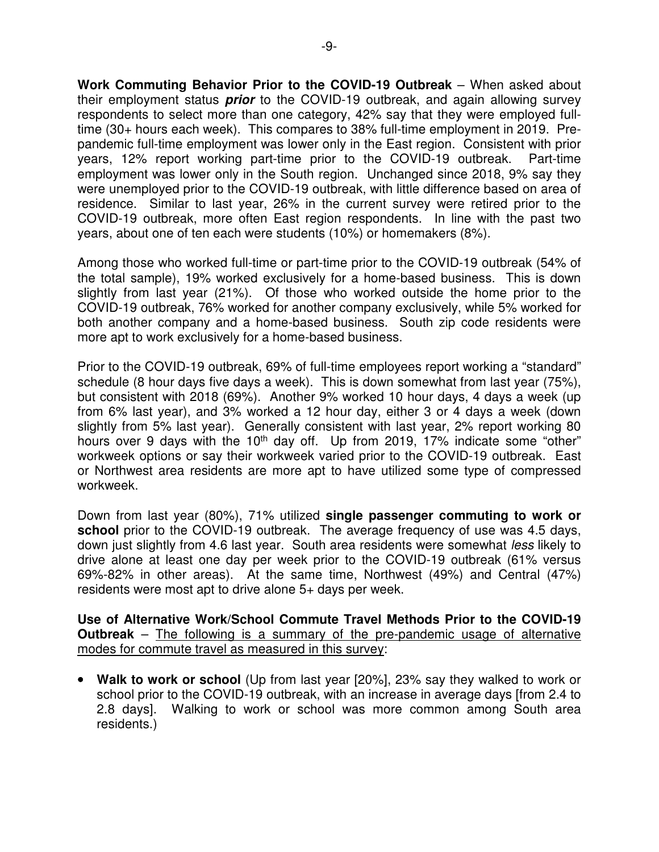**Work Commuting Behavior Prior to the COVID-19 Outbreak** – When asked about their employment status **prior** to the COVID-19 outbreak, and again allowing survey respondents to select more than one category, 42% say that they were employed fulltime (30+ hours each week). This compares to 38% full-time employment in 2019. Prepandemic full-time employment was lower only in the East region. Consistent with prior years, 12% report working part-time prior to the COVID-19 outbreak. Part-time employment was lower only in the South region. Unchanged since 2018, 9% say they were unemployed prior to the COVID-19 outbreak, with little difference based on area of residence. Similar to last year, 26% in the current survey were retired prior to the COVID-19 outbreak, more often East region respondents. In line with the past two years, about one of ten each were students (10%) or homemakers (8%).

Among those who worked full-time or part-time prior to the COVID-19 outbreak (54% of the total sample), 19% worked exclusively for a home-based business. This is down slightly from last year (21%). Of those who worked outside the home prior to the COVID-19 outbreak, 76% worked for another company exclusively, while 5% worked for both another company and a home-based business. South zip code residents were more apt to work exclusively for a home-based business.

Prior to the COVID-19 outbreak, 69% of full-time employees report working a "standard" schedule (8 hour days five days a week). This is down somewhat from last year (75%), but consistent with 2018 (69%). Another 9% worked 10 hour days, 4 days a week (up from 6% last year), and 3% worked a 12 hour day, either 3 or 4 days a week (down slightly from 5% last year). Generally consistent with last year, 2% report working 80 hours over 9 days with the  $10<sup>th</sup>$  day off. Up from 2019, 17% indicate some "other" workweek options or say their workweek varied prior to the COVID-19 outbreak. East or Northwest area residents are more apt to have utilized some type of compressed workweek.

Down from last year (80%), 71% utilized **single passenger commuting to work or school** prior to the COVID-19 outbreak. The average frequency of use was 4.5 days, down just slightly from 4.6 last year. South area residents were somewhat less likely to drive alone at least one day per week prior to the COVID-19 outbreak (61% versus 69%-82% in other areas). At the same time, Northwest (49%) and Central (47%) residents were most apt to drive alone 5+ days per week.

**Use of Alternative Work/School Commute Travel Methods Prior to the COVID-19 Outbreak** – The following is a summary of the pre-pandemic usage of alternative modes for commute travel as measured in this survey:

• **Walk to work or school** (Up from last year [20%], 23% say they walked to work or school prior to the COVID-19 outbreak, with an increase in average days [from 2.4 to 2.8 days]. Walking to work or school was more common among South area residents.)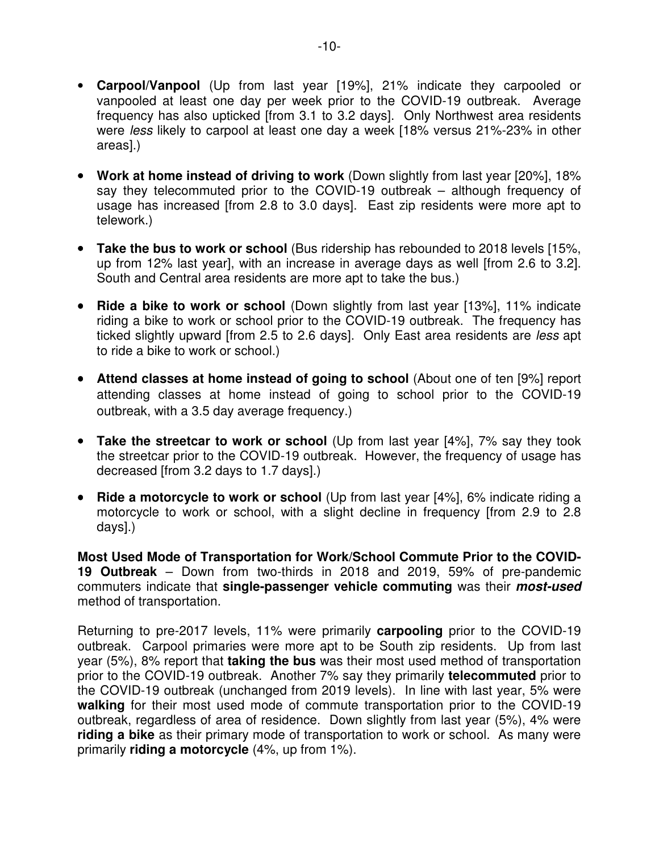- **Carpool/Vanpool** (Up from last year [19%], 21% indicate they carpooled or vanpooled at least one day per week prior to the COVID-19 outbreak. Average frequency has also upticked [from 3.1 to 3.2 days]. Only Northwest area residents were less likely to carpool at least one day a week [18% versus 21%-23% in other areas].)
- • **Work at home instead of driving to work** (Down slightly from last year [20%], 18% say they telecommuted prior to the COVID-19 outbreak – although frequency of usage has increased [from 2.8 to 3.0 days]. East zip residents were more apt to telework.)
- • **Take the bus to work or school** (Bus ridership has rebounded to 2018 levels [15%, up from 12% last year], with an increase in average days as well [from 2.6 to 3.2]. South and Central area residents are more apt to take the bus.)
- • **Ride a bike to work or school** (Down slightly from last year [13%], 11% indicate riding a bike to work or school prior to the COVID-19 outbreak. The frequency has ticked slightly upward [from 2.5 to 2.6 days]. Only East area residents are less apt to ride a bike to work or school.)
- • **Attend classes at home instead of going to school** (About one of ten [9%] report attending classes at home instead of going to school prior to the COVID-19 outbreak, with a 3.5 day average frequency.)
- • **Take the streetcar to work or school** (Up from last year [4%], 7% say they took the streetcar prior to the COVID-19 outbreak. However, the frequency of usage has decreased [from 3.2 days to 1.7 days].)
- **Ride a motorcycle to work or school** (Up from last year [4%], 6% indicate riding a motorcycle to work or school, with a slight decline in frequency [from 2.9 to 2.8 days].)

**Most Used Mode of Transportation for Work/School Commute Prior to the COVID-19 Outbreak** – Down from two-thirds in 2018 and 2019, 59% of pre-pandemic commuters indicate that **single-passenger vehicle commuting** was their **most-used** method of transportation.

Returning to pre-2017 levels, 11% were primarily **carpooling** prior to the COVID-19 outbreak. Carpool primaries were more apt to be South zip residents. Up from last year (5%), 8% report that **taking the bus** was their most used method of transportation prior to the COVID-19 outbreak. Another 7% say they primarily **telecommuted** prior to the COVID-19 outbreak (unchanged from 2019 levels). In line with last year, 5% were **walking** for their most used mode of commute transportation prior to the COVID-19 outbreak, regardless of area of residence. Down slightly from last year (5%), 4% were **riding a bike** as their primary mode of transportation to work or school. As many were primarily **riding a motorcycle** (4%, up from 1%).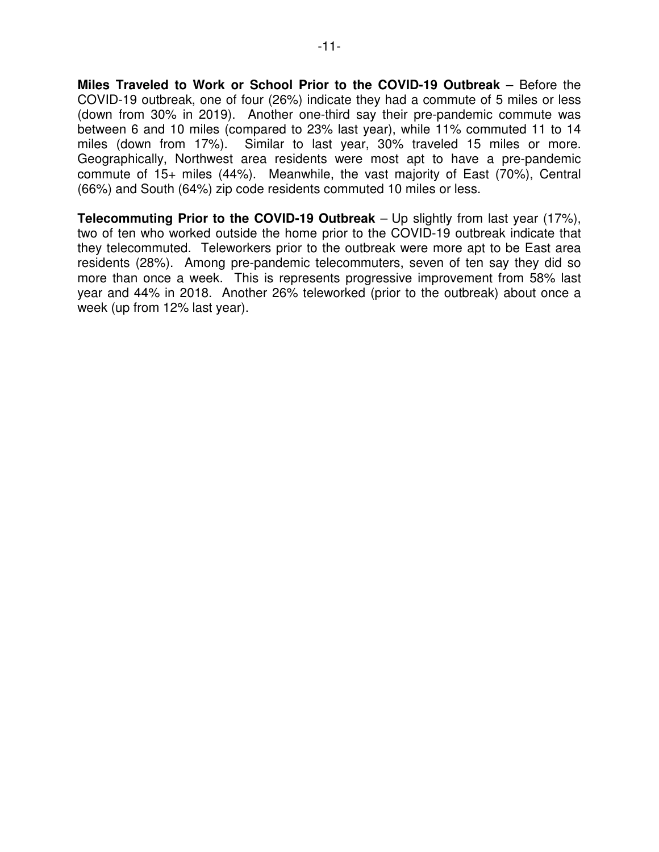**Miles Traveled to Work or School Prior to the COVID-19 Outbreak** – Before the COVID-19 outbreak, one of four (26%) indicate they had a commute of 5 miles or less (down from 30% in 2019). Another one-third say their pre-pandemic commute was between 6 and 10 miles (compared to 23% last year), while 11% commuted 11 to 14 miles (down from 17%). Similar to last year, 30% traveled 15 miles or more. Geographically, Northwest area residents were most apt to have a pre-pandemic commute of 15+ miles (44%). Meanwhile, the vast majority of East (70%), Central (66%) and South (64%) zip code residents commuted 10 miles or less.

**Telecommuting Prior to the COVID-19 Outbreak** – Up slightly from last year (17%), two of ten who worked outside the home prior to the COVID-19 outbreak indicate that they telecommuted. Teleworkers prior to the outbreak were more apt to be East area residents (28%). Among pre-pandemic telecommuters, seven of ten say they did so more than once a week. This is represents progressive improvement from 58% last year and 44% in 2018. Another 26% teleworked (prior to the outbreak) about once a week (up from 12% last year).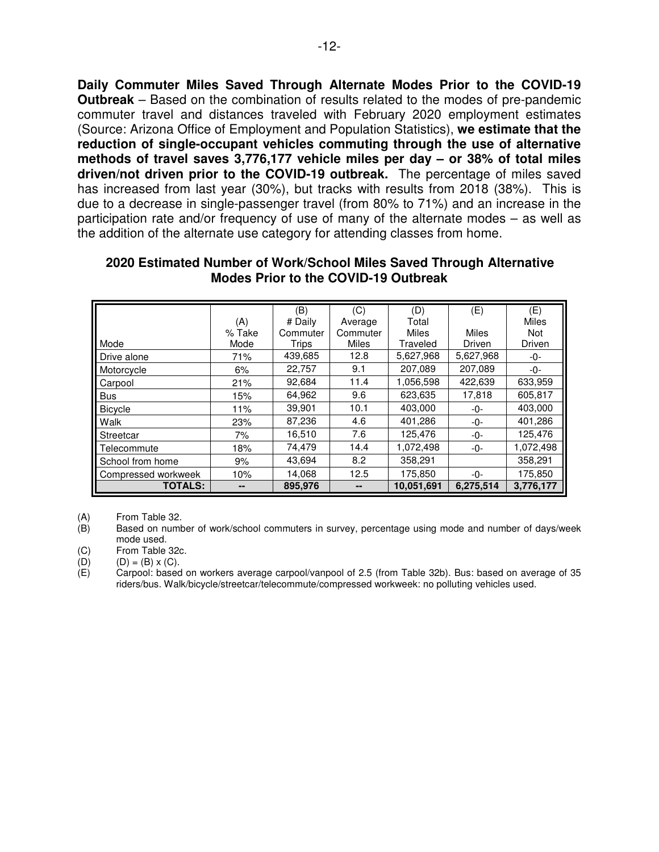**Daily Commuter Miles Saved Through Alternate Modes Prior to the COVID-19 Outbreak** – Based on the combination of results related to the modes of pre-pandemic commuter travel and distances traveled with February 2020 employment estimates (Source: Arizona Office of Employment and Population Statistics), **we estimate that the reduction of single-occupant vehicles commuting through the use of alternative methods of travel saves 3,776,177 vehicle miles per day – or 38% of total miles driven/not driven prior to the COVID-19 outbreak.** The percentage of miles saved has increased from last year (30%), but tracks with results from 2018 (38%). This is due to a decrease in single-passenger travel (from 80% to 71%) and an increase in the participation rate and/or frequency of use of many of the alternate modes – as well as the addition of the alternate use category for attending classes from home.

|                     |        | (B)      | (C)      | (D)        | (E)          | (E)          |
|---------------------|--------|----------|----------|------------|--------------|--------------|
|                     | (A)    | # Daily  | Average  | Total      |              | <b>Miles</b> |
|                     | % Take | Commuter | Commuter | Miles      | <b>Miles</b> | <b>Not</b>   |
| Mode                | Mode   | Trips    | Miles    | Traveled   | Driven       | Driven       |
| Drive alone         | 71%    | 439,685  | 12.8     | 5,627,968  | 5,627,968    | -0-          |
| Motorcycle          | 6%     | 22,757   | 9.1      | 207,089    | 207,089      | -0-          |
| Carpool             | 21%    | 92,684   | 11.4     | 1,056,598  | 422,639      | 633,959      |
| <b>Bus</b>          | 15%    | 64,962   | 9.6      | 623,635    | 17,818       | 605,817      |
| <b>Bicycle</b>      | 11%    | 39,901   | 10.1     | 403,000    | -0-          | 403,000      |
| Walk                | 23%    | 87,236   | 4.6      | 401,286    | -0-          | 401,286      |
| Streetcar           | 7%     | 16,510   | 7.6      | 125,476    | -0-          | 125,476      |
| Telecommute         | 18%    | 74,479   | 14.4     | 1,072,498  | -0-          | 1,072,498    |
| School from home    | 9%     | 43,694   | 8.2      | 358,291    |              | 358,291      |
| Compressed workweek | 10%    | 14,068   | 12.5     | 175,850    | -0-          | 175,850      |
| <b>TOTALS:</b>      |        | 895,976  |          | 10,051,691 | 6,275,514    | 3,776,177    |

#### **2020 Estimated Number of Work/School Miles Saved Through Alternative Modes Prior to the COVID-19 Outbreak**

(A) From Table 32.<br>(B) Based on numb

Based on number of work/school commuters in survey, percentage using mode and number of days/week mode used.

(C) From Table 32c.<br>(D)  $(D) = (B) \times (C)$ .

(D)  $(D) = (B) \times (C)$ .<br>(E) Carpool: based

Carpool: based on workers average carpool/vanpool of 2.5 (from Table 32b). Bus: based on average of 35 riders/bus. Walk/bicycle/streetcar/telecommute/compressed workweek: no polluting vehicles used.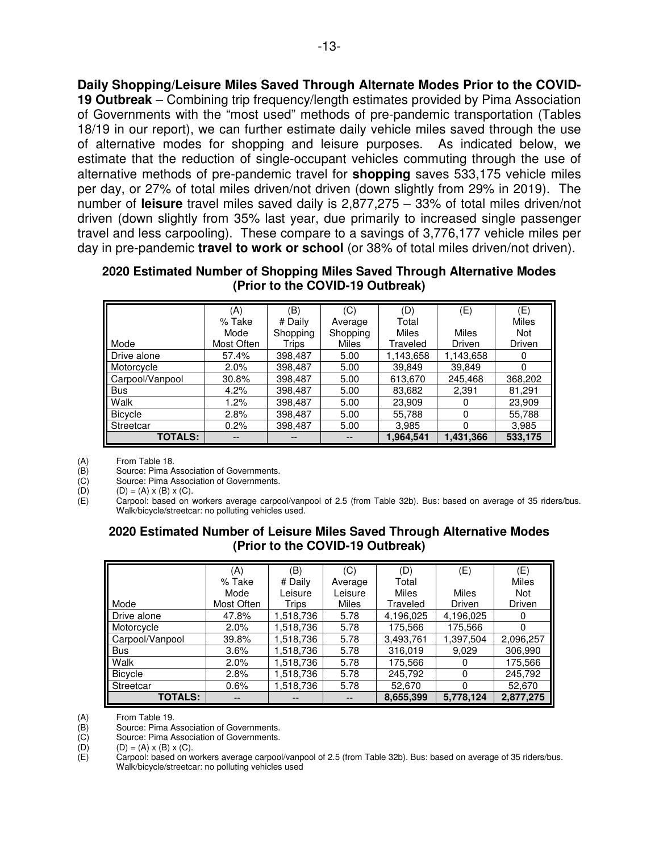**Daily Shopping/Leisure Miles Saved Through Alternate Modes Prior to the COVID-19 Outbreak** – Combining trip frequency/length estimates provided by Pima Association of Governments with the "most used" methods of pre-pandemic transportation (Tables 18/19 in our report), we can further estimate daily vehicle miles saved through the use of alternative modes for shopping and leisure purposes. As indicated below, we estimate that the reduction of single-occupant vehicles commuting through the use of alternative methods of pre-pandemic travel for **shopping** saves 533,175 vehicle miles per day, or 27% of total miles driven/not driven (down slightly from 29% in 2019).The number of **leisure** travel miles saved daily is 2,877,275 – 33% of total miles driven/not driven (down slightly from 35% last year, due primarily to increased single passenger travel and less carpooling). These compare to a savings of 3,776,177 vehicle miles per day in pre-pandemic **travel to work or school** (or 38% of total miles driven/not driven).

**2020 Estimated Number of Shopping Miles Saved Through Alternative Modes (Prior to the COVID-19 Outbreak)** 

|                 | (A)        | (B)      | (C)      | (D)          | (E)       | (E)          |
|-----------------|------------|----------|----------|--------------|-----------|--------------|
|                 | % Take     | # Daily  | Average  | Total        |           | <b>Miles</b> |
|                 | Mode       | Shopping | Shopping | <b>Miles</b> | Miles     | <b>Not</b>   |
| Mode            | Most Often | Trips    | Miles    | Traveled     | Driven    | Driven       |
| Drive alone     | 57.4%      | 398,487  | 5.00     | 1,143,658    | 1,143,658 | 0            |
| Motorcycle      | $2.0\%$    | 398.487  | 5.00     | 39,849       | 39.849    | 0            |
| Carpool/Vanpool | 30.8%      | 398,487  | 5.00     | 613,670      | 245,468   | 368,202      |
| Bus             | 4.2%       | 398,487  | 5.00     | 83,682       | 2,391     | 81,291       |
| <b>Walk</b>     | $1.2\%$    | 398,487  | 5.00     | 23,909       | O         | 23,909       |
| <b>Bicycle</b>  | 2.8%       | 398,487  | 5.00     | 55,788       | 0         | 55,788       |
| Streetcar       | 0.2%       | 398,487  | 5.00     | 3,985        | 0         | 3,985        |
| <b>TOTALS:</b>  |            |          |          | 1,964,541    | 1,431,366 | 533,175      |

(A) From Table 18.<br>
(B) Source: Pima A<br>
(C) Source: Pima A Source: Pima Association of Governments.

(C) Source: Pima Association of Governments.<br>(D)  $(D) = (A) \times (B) \times (C)$ .

(D)  $(D) = (A) \times (B) \times (C)$ .<br>
(E) Carpool: based on v Carpool: based on workers average carpool/vanpool of 2.5 (from Table 32b). Bus: based on average of 35 riders/bus. Walk/bicycle/streetcar: no polluting vehicles used.

# **2020 Estimated Number of Leisure Miles Saved Through Alternative Modes (Prior to the COVID-19 Outbreak)**

|                 | (A)        | (B)       | (C)     | (D)       | (E)       | (E)          |
|-----------------|------------|-----------|---------|-----------|-----------|--------------|
|                 | % Take     | # Daily   | Average | Total     |           | <b>Miles</b> |
|                 | Mode       | Leisure   | Leisure | Miles     | Miles     | Not          |
| Mode            | Most Often | Trips     | Miles   | Traveled  | Driven    | Driven       |
| Drive alone     | 47.8%      | 1,518,736 | 5.78    | 4,196,025 | 4,196,025 | 0            |
| Motorcycle      | 2.0%       | 1,518,736 | 5.78    | 175,566   | 175,566   | $\Omega$     |
| Carpool/Vanpool | 39.8%      | 1,518,736 | 5.78    | 3,493,761 | 1,397,504 | 2,096,257    |
| <b>Bus</b>      | 3.6%       | 1,518,736 | 5.78    | 316,019   | 9,029     | 306,990      |
| Walk            | 2.0%       | 1,518,736 | 5.78    | 175,566   | 0         | 175,566      |
| <b>Bicycle</b>  | 2.8%       | 1,518,736 | 5.78    | 245,792   | 0         | 245,792      |
| Streetcar       | 0.6%       | 1,518,736 | 5.78    | 52,670    | $\Omega$  | 52,670       |
| <b>TOTALS:</b>  |            |           |         | 8,655,399 | 5,778,124 | 2,877,275    |

(A) From Table 19.<br>(B) Source: Pima A Source: Pima Association of Governments.

(C) Source: Pima Association of Governments.<br>(D)  $(D) = (A) \times (B) \times (C)$ .

(D)  $(D) = (A) \times (B) \times (C)$ .<br>
(E) Carpool: based on w

Carpool: based on workers average carpool/vanpool of 2.5 (from Table 32b). Bus: based on average of 35 riders/bus. Walk/bicycle/streetcar: no polluting vehicles used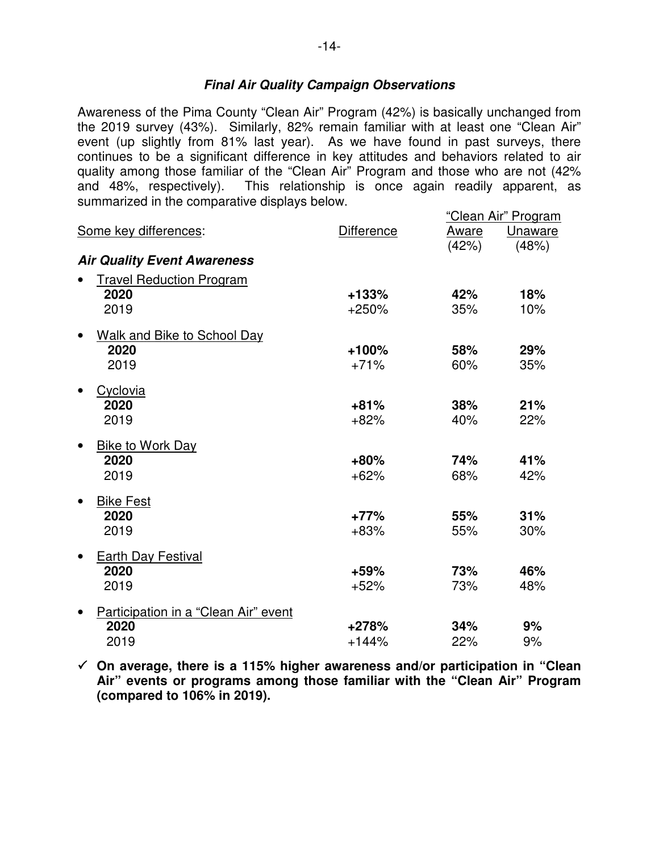# **Final Air Quality Campaign Observations**

Awareness of the Pima County "Clean Air" Program (42%) is basically unchanged from the 2019 survey (43%). Similarly, 82% remain familiar with at least one "Clean Air" event (up slightly from 81% last year). As we have found in past surveys, there continues to be a significant difference in key attitudes and behaviors related to air quality among those familiar of the "Clean Air" Program and those who are not (42% and 48%, respectively). This relationship is once again readily apparent, as summarized in the comparative displays below.

|                                      |                   |       | "Clean Air" Program |
|--------------------------------------|-------------------|-------|---------------------|
| Some key differences:                | <b>Difference</b> | Aware | <b>Unaware</b>      |
|                                      |                   | (42%) | (48%)               |
| <b>Air Quality Event Awareness</b>   |                   |       |                     |
| <b>Travel Reduction Program</b>      |                   |       |                     |
| 2020                                 | $+133%$           | 42%   | 18%                 |
| 2019                                 | $+250%$           | 35%   | 10%                 |
| <b>Walk and Bike to School Day</b>   |                   |       |                     |
| 2020                                 | $+100%$           | 58%   | 29%                 |
| 2019                                 | $+71%$            | 60%   | 35%                 |
| Cyclovia                             |                   |       |                     |
| 2020                                 | $+81%$            | 38%   | 21%                 |
| 2019                                 | $+82%$            | 40%   | 22%                 |
| <b>Bike to Work Day</b>              |                   |       |                     |
| 2020                                 | $+80%$            | 74%   | 41%                 |
| 2019                                 | $+62%$            | 68%   | 42%                 |
| <b>Bike Fest</b>                     |                   |       |                     |
| 2020                                 | $+77%$            | 55%   | 31%                 |
| 2019                                 | $+83%$            | 55%   | 30%                 |
| Earth Day Festival                   |                   |       |                     |
| 2020                                 | +59%              | 73%   | 46%                 |
| 2019                                 | $+52%$            | 73%   | 48%                 |
| Participation in a "Clean Air" event |                   |       |                     |
| 2020                                 | +278%             | 34%   | 9%                  |
| 2019                                 | $+144%$           | 22%   | 9%                  |

 **On average, there is a 115% higher awareness and/or participation in "Clean Air" events or programs among those familiar with the "Clean Air" Program (compared to 106% in 2019).**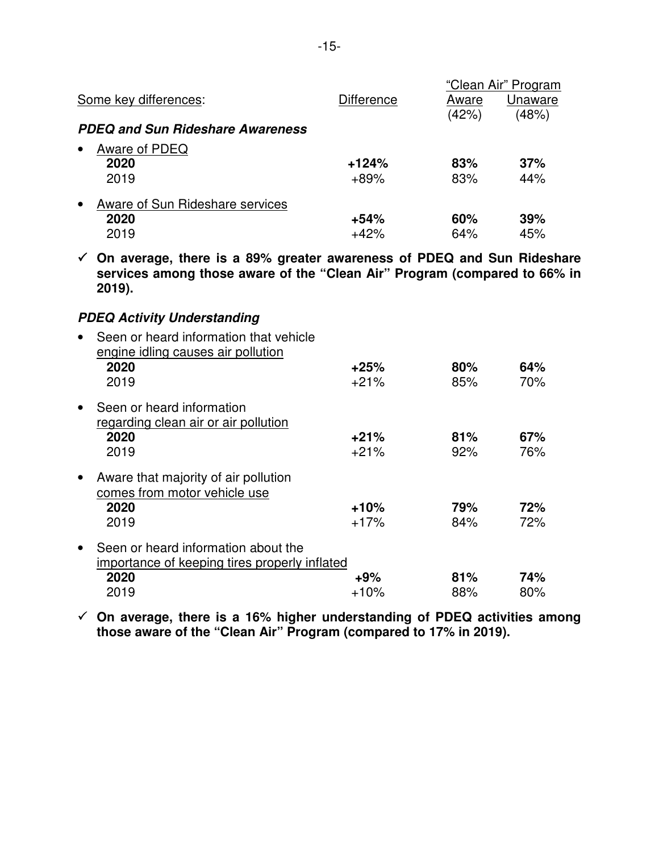|                                              |            |       | "Clean Air" Program |
|----------------------------------------------|------------|-------|---------------------|
| Some key differences:                        | Difference | Aware | Unaware             |
|                                              |            | (42%) | (48%)               |
| <b>PDEQ and Sun Rideshare Awareness</b>      |            |       |                     |
| Aware of PDEQ<br>$\bullet$                   |            |       |                     |
| 2020                                         | $+124%$    | 83%   | 37%                 |
| 2019                                         | $+89%$     | 83%   | 44%                 |
| Aware of Sun Rideshare services<br>$\bullet$ |            |       |                     |
| 2020                                         | $+54%$     | 60%   | 39%                 |
| 2019                                         | $+42%$     | 64%   | 45%                 |

 **On average, there is a 89% greater awareness of PDEQ and Sun Rideshare services among those aware of the "Clean Air" Program (compared to 66% in 2019).** 

# **PDEQ Activity Understanding**

|           | Seen or heard information that vehicle<br>engine idling causes air pollution<br>2020<br>2019 | $+25%$<br>$+21%$ | 80%<br>85% | 64%<br>70% |
|-----------|----------------------------------------------------------------------------------------------|------------------|------------|------------|
| $\bullet$ | Seen or heard information<br>regarding clean air or air pollution                            |                  |            |            |
|           | 2020                                                                                         | $+21%$           | 81%        | 67%        |
|           | 2019                                                                                         | $+21%$           | 92%        | 76%        |
| $\bullet$ | Aware that majority of air pollution<br>comes from motor vehicle use                         |                  |            |            |
|           | 2020                                                                                         | $+10%$           | 79%        | 72%        |
|           |                                                                                              |                  |            |            |
|           | 2019                                                                                         | $+17%$           | 84%        | 72%        |
| $\bullet$ | Seen or heard information about the                                                          |                  |            |            |
|           | importance of keeping tires properly inflated                                                |                  |            |            |
|           | 2020                                                                                         | $+9%$            | 81%        | 74%        |
|           | 2019                                                                                         | $+10%$           | 88%        | 80%        |

 **On average, there is a 16% higher understanding of PDEQ activities among those aware of the "Clean Air" Program (compared to 17% in 2019).**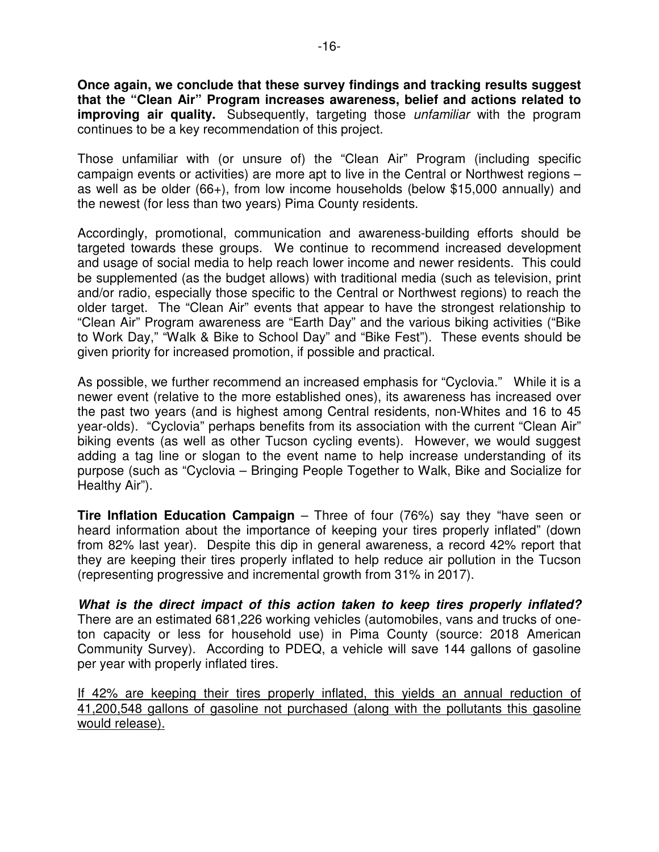**Once again, we conclude that these survey findings and tracking results suggest that the "Clean Air" Program increases awareness, belief and actions related to improving air quality.** Subsequently, targeting those *unfamiliar* with the program continues to be a key recommendation of this project.

Those unfamiliar with (or unsure of) the "Clean Air" Program (including specific campaign events or activities) are more apt to live in the Central or Northwest regions – as well as be older (66+), from low income households (below \$15,000 annually) and the newest (for less than two years) Pima County residents.

Accordingly, promotional, communication and awareness-building efforts should be targeted towards these groups. We continue to recommend increased development and usage of social media to help reach lower income and newer residents. This could be supplemented (as the budget allows) with traditional media (such as television, print and/or radio, especially those specific to the Central or Northwest regions) to reach the older target. The "Clean Air" events that appear to have the strongest relationship to "Clean Air" Program awareness are "Earth Day" and the various biking activities ("Bike to Work Day," "Walk & Bike to School Day" and "Bike Fest"). These events should be given priority for increased promotion, if possible and practical.

As possible, we further recommend an increased emphasis for "Cyclovia." While it is a newer event (relative to the more established ones), its awareness has increased over the past two years (and is highest among Central residents, non-Whites and 16 to 45 year-olds). "Cyclovia" perhaps benefits from its association with the current "Clean Air" biking events (as well as other Tucson cycling events). However, we would suggest adding a tag line or slogan to the event name to help increase understanding of its purpose (such as "Cyclovia – Bringing People Together to Walk, Bike and Socialize for Healthy Air").

**Tire Inflation Education Campaign** – Three of four (76%) say they "have seen or heard information about the importance of keeping your tires properly inflated" (down from 82% last year). Despite this dip in general awareness, a record 42% report that they are keeping their tires properly inflated to help reduce air pollution in the Tucson (representing progressive and incremental growth from 31% in 2017).

**What is the direct impact of this action taken to keep tires properly inflated?** There are an estimated 681,226 working vehicles (automobiles, vans and trucks of oneton capacity or less for household use) in Pima County (source: 2018 American Community Survey). According to PDEQ, a vehicle will save 144 gallons of gasoline per year with properly inflated tires.

If 42% are keeping their tires properly inflated, this yields an annual reduction of 41,200,548 gallons of gasoline not purchased (along with the pollutants this gasoline would release).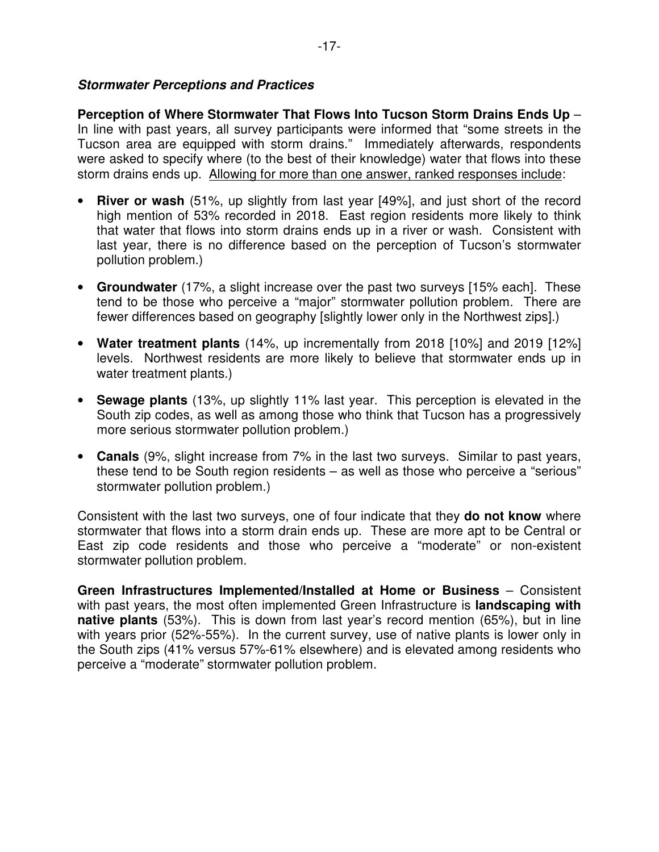# **Stormwater Perceptions and Practices**

**Perception of Where Stormwater That Flows Into Tucson Storm Drains Ends Up** – In line with past years, all survey participants were informed that "some streets in the Tucson area are equipped with storm drains." Immediately afterwards, respondents were asked to specify where (to the best of their knowledge) water that flows into these storm drains ends up. Allowing for more than one answer, ranked responses include:

- **River or wash** (51%, up slightly from last year [49%], and just short of the record high mention of 53% recorded in 2018. East region residents more likely to think that water that flows into storm drains ends up in a river or wash. Consistent with last year, there is no difference based on the perception of Tucson's stormwater pollution problem.)
- **Groundwater** (17%, a slight increase over the past two surveys [15% each]. These tend to be those who perceive a "major" stormwater pollution problem. There are fewer differences based on geography [slightly lower only in the Northwest zips].)
- **Water treatment plants** (14%, up incrementally from 2018 [10%] and 2019 [12%] levels. Northwest residents are more likely to believe that stormwater ends up in water treatment plants.)
- **Sewage plants** (13%, up slightly 11% last year. This perception is elevated in the South zip codes, as well as among those who think that Tucson has a progressively more serious stormwater pollution problem.)
- **Canals** (9%, slight increase from 7% in the last two surveys. Similar to past years, these tend to be South region residents – as well as those who perceive a "serious" stormwater pollution problem.)

Consistent with the last two surveys, one of four indicate that they **do not know** where stormwater that flows into a storm drain ends up. These are more apt to be Central or East zip code residents and those who perceive a "moderate" or non-existent stormwater pollution problem.

**Green Infrastructures Implemented/Installed at Home or Business** – Consistent with past years, the most often implemented Green Infrastructure is **landscaping with native plants** (53%). This is down from last year's record mention (65%), but in line with years prior (52%-55%). In the current survey, use of native plants is lower only in the South zips (41% versus 57%-61% elsewhere) and is elevated among residents who perceive a "moderate" stormwater pollution problem.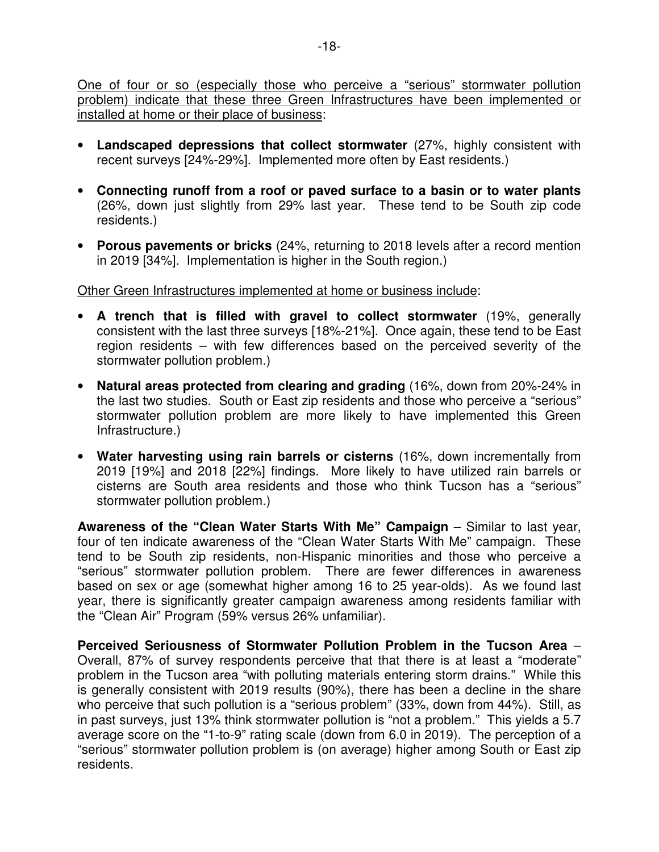One of four or so (especially those who perceive a "serious" stormwater pollution problem) indicate that these three Green Infrastructures have been implemented or installed at home or their place of business:

- **Landscaped depressions that collect stormwater** (27%, highly consistent with recent surveys [24%-29%]. Implemented more often by East residents.)
- **Connecting runoff from a roof or paved surface to a basin or to water plants** (26%, down just slightly from 29% last year. These tend to be South zip code residents.)
- **Porous pavements or bricks** (24%, returning to 2018 levels after a record mention in 2019 [34%]. Implementation is higher in the South region.)

### Other Green Infrastructures implemented at home or business include:

- **A trench that is filled with gravel to collect stormwater** (19%, generally consistent with the last three surveys [18%-21%]. Once again, these tend to be East region residents – with few differences based on the perceived severity of the stormwater pollution problem.)
- **Natural areas protected from clearing and grading** (16%, down from 20%-24% in the last two studies. South or East zip residents and those who perceive a "serious" stormwater pollution problem are more likely to have implemented this Green Infrastructure.)
- **Water harvesting using rain barrels or cisterns** (16%, down incrementally from 2019 [19%] and 2018 [22%] findings. More likely to have utilized rain barrels or cisterns are South area residents and those who think Tucson has a "serious" stormwater pollution problem.)

**Awareness of the "Clean Water Starts With Me" Campaign** – Similar to last year, four of ten indicate awareness of the "Clean Water Starts With Me" campaign. These tend to be South zip residents, non-Hispanic minorities and those who perceive a "serious" stormwater pollution problem. There are fewer differences in awareness based on sex or age (somewhat higher among 16 to 25 year-olds). As we found last year, there is significantly greater campaign awareness among residents familiar with the "Clean Air" Program (59% versus 26% unfamiliar).

**Perceived Seriousness of Stormwater Pollution Problem in the Tucson Area** – Overall, 87% of survey respondents perceive that that there is at least a "moderate" problem in the Tucson area "with polluting materials entering storm drains." While this is generally consistent with 2019 results (90%), there has been a decline in the share who perceive that such pollution is a "serious problem" (33%, down from 44%). Still, as in past surveys, just 13% think stormwater pollution is "not a problem." This yields a 5.7 average score on the "1-to-9" rating scale (down from 6.0 in 2019). The perception of a "serious" stormwater pollution problem is (on average) higher among South or East zip residents.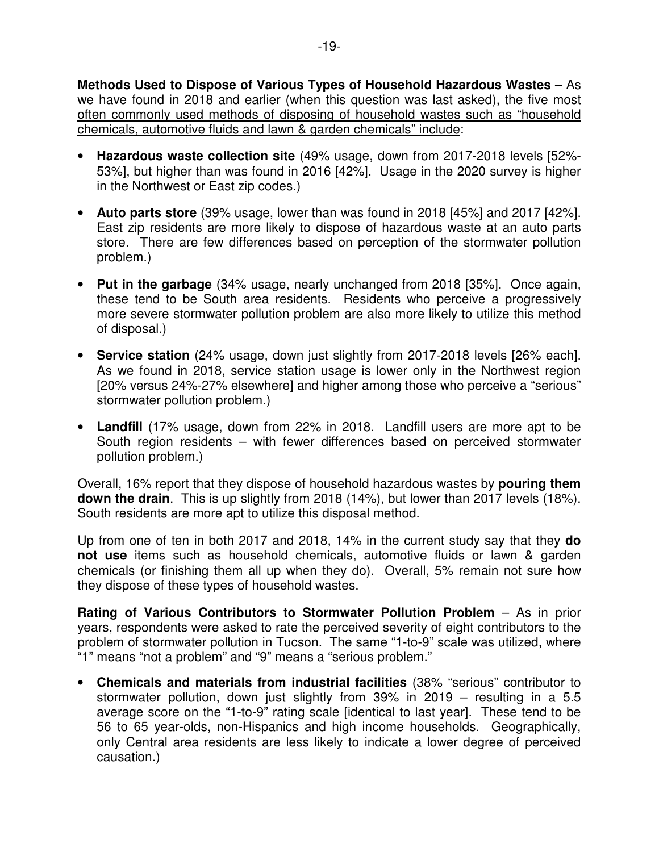**Methods Used to Dispose of Various Types of Household Hazardous Wastes** – As we have found in 2018 and earlier (when this question was last asked), the five most often commonly used methods of disposing of household wastes such as "household chemicals, automotive fluids and lawn & garden chemicals" include:

- **Hazardous waste collection site** (49% usage, down from 2017-2018 levels [52%- 53%], but higher than was found in 2016 [42%]. Usage in the 2020 survey is higher in the Northwest or East zip codes.)
- **Auto parts store** (39% usage, lower than was found in 2018 [45%] and 2017 [42%]. East zip residents are more likely to dispose of hazardous waste at an auto parts store. There are few differences based on perception of the stormwater pollution problem.)
- **Put in the garbage** (34% usage, nearly unchanged from 2018 [35%]. Once again, these tend to be South area residents. Residents who perceive a progressively more severe stormwater pollution problem are also more likely to utilize this method of disposal.)
- **Service station** (24% usage, down just slightly from 2017-2018 levels [26% each]. As we found in 2018, service station usage is lower only in the Northwest region [20% versus 24%-27% elsewhere] and higher among those who perceive a "serious" stormwater pollution problem.)
- **Landfill** (17% usage, down from 22% in 2018. Landfill users are more apt to be South region residents – with fewer differences based on perceived stormwater pollution problem.)

Overall, 16% report that they dispose of household hazardous wastes by **pouring them down the drain**. This is up slightly from 2018 (14%), but lower than 2017 levels (18%). South residents are more apt to utilize this disposal method.

Up from one of ten in both 2017 and 2018, 14% in the current study say that they **do not use** items such as household chemicals, automotive fluids or lawn & garden chemicals (or finishing them all up when they do). Overall, 5% remain not sure how they dispose of these types of household wastes.

**Rating of Various Contributors to Stormwater Pollution Problem** – As in prior years, respondents were asked to rate the perceived severity of eight contributors to the problem of stormwater pollution in Tucson. The same "1-to-9" scale was utilized, where "1" means "not a problem" and "9" means a "serious problem."

• **Chemicals and materials from industrial facilities** (38% "serious" contributor to stormwater pollution, down just slightly from 39% in 2019 – resulting in a 5.5 average score on the "1-to-9" rating scale [identical to last year]. These tend to be 56 to 65 year-olds, non-Hispanics and high income households. Geographically, only Central area residents are less likely to indicate a lower degree of perceived causation.)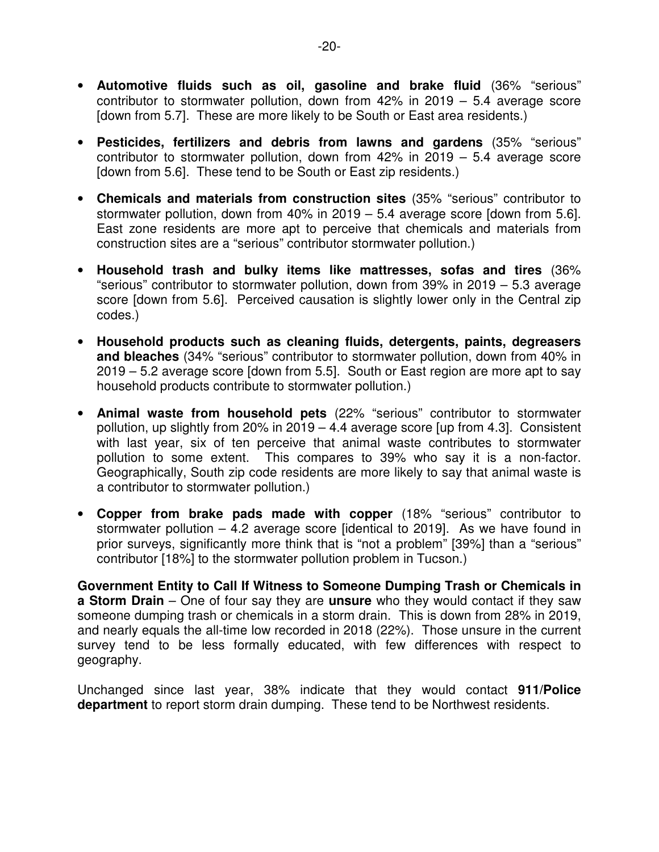- **Automotive fluids such as oil, gasoline and brake fluid** (36% "serious" contributor to stormwater pollution, down from 42% in 2019 – 5.4 average score [down from 5.7]. These are more likely to be South or East area residents.)
- **Pesticides, fertilizers and debris from lawns and gardens** (35% "serious" contributor to stormwater pollution, down from 42% in 2019 – 5.4 average score [down from 5.6]. These tend to be South or East zip residents.)
- **Chemicals and materials from construction sites** (35% "serious" contributor to stormwater pollution, down from 40% in 2019 – 5.4 average score [down from 5.6]. East zone residents are more apt to perceive that chemicals and materials from construction sites are a "serious" contributor stormwater pollution.)
- **Household trash and bulky items like mattresses, sofas and tires** (36% "serious" contributor to stormwater pollution, down from 39% in 2019 – 5.3 average score [down from 5.6]. Perceived causation is slightly lower only in the Central zip codes.)
- **Household products such as cleaning fluids, detergents, paints, degreasers and bleaches** (34% "serious" contributor to stormwater pollution, down from 40% in 2019 – 5.2 average score [down from 5.5]. South or East region are more apt to say household products contribute to stormwater pollution.)
- **Animal waste from household pets** (22% "serious" contributor to stormwater pollution, up slightly from 20% in 2019 – 4.4 average score [up from 4.3]. Consistent with last year, six of ten perceive that animal waste contributes to stormwater pollution to some extent. This compares to 39% who say it is a non-factor. Geographically, South zip code residents are more likely to say that animal waste is a contributor to stormwater pollution.)
- **Copper from brake pads made with copper** (18% "serious" contributor to stormwater pollution – 4.2 average score [identical to 2019]. As we have found in prior surveys, significantly more think that is "not a problem" [39%] than a "serious" contributor [18%] to the stormwater pollution problem in Tucson.)

**Government Entity to Call If Witness to Someone Dumping Trash or Chemicals in a Storm Drain** – One of four say they are **unsure** who they would contact if they saw someone dumping trash or chemicals in a storm drain. This is down from 28% in 2019, and nearly equals the all-time low recorded in 2018 (22%). Those unsure in the current survey tend to be less formally educated, with few differences with respect to geography.

Unchanged since last year, 38% indicate that they would contact **911/Police department** to report storm drain dumping. These tend to be Northwest residents.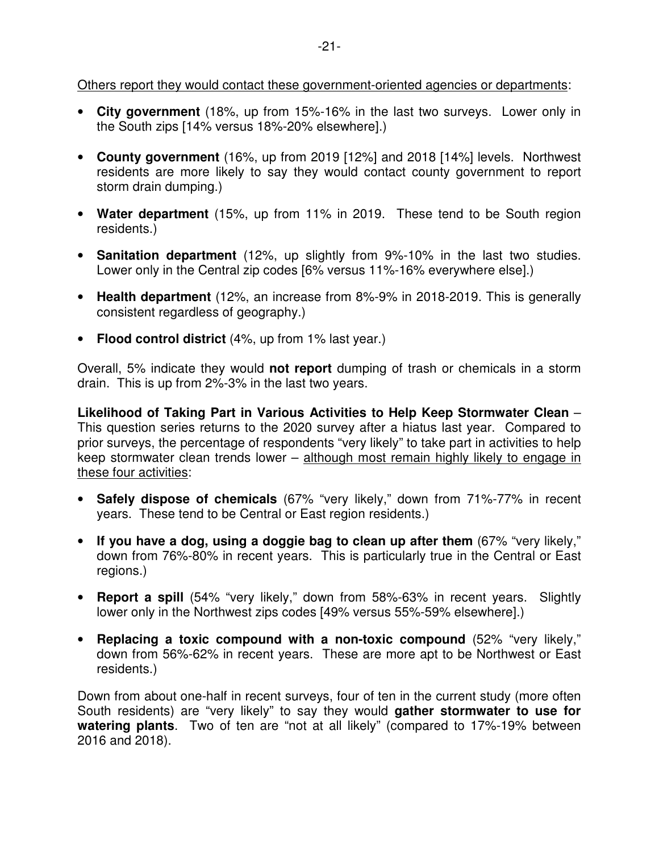Others report they would contact these government-oriented agencies or departments:

- **City government** (18%, up from 15%-16% in the last two surveys. Lower only in the South zips [14% versus 18%-20% elsewhere].)
- **County government** (16%, up from 2019 [12%] and 2018 [14%] levels. Northwest residents are more likely to say they would contact county government to report storm drain dumping.)
- **Water department** (15%, up from 11% in 2019. These tend to be South region residents.)
- **Sanitation department** (12%, up slightly from 9%-10% in the last two studies. Lower only in the Central zip codes [6% versus 11%-16% everywhere else].)
- **Health department** (12%, an increase from 8%-9% in 2018-2019. This is generally consistent regardless of geography.)
- **Flood control district** (4%, up from 1% last year.)

Overall, 5% indicate they would **not report** dumping of trash or chemicals in a storm drain. This is up from 2%-3% in the last two years.

**Likelihood of Taking Part in Various Activities to Help Keep Stormwater Clean** – This question series returns to the 2020 survey after a hiatus last year. Compared to prior surveys, the percentage of respondents "very likely" to take part in activities to help keep stormwater clean trends lower – although most remain highly likely to engage in these four activities:

- **Safely dispose of chemicals** (67% "very likely," down from 71%-77% in recent years. These tend to be Central or East region residents.)
- **If you have a dog, using a doggie bag to clean up after them** (67% "very likely," down from 76%-80% in recent years. This is particularly true in the Central or East regions.)
- **Report a spill** (54% "very likely," down from 58%-63% in recent years. Slightly lower only in the Northwest zips codes [49% versus 55%-59% elsewhere].)
- **Replacing a toxic compound with a non-toxic compound** (52% "very likely," down from 56%-62% in recent years. These are more apt to be Northwest or East residents.)

Down from about one-half in recent surveys, four of ten in the current study (more often South residents) are "very likely" to say they would **gather stormwater to use for watering plants**. Two of ten are "not at all likely" (compared to 17%-19% between 2016 and 2018).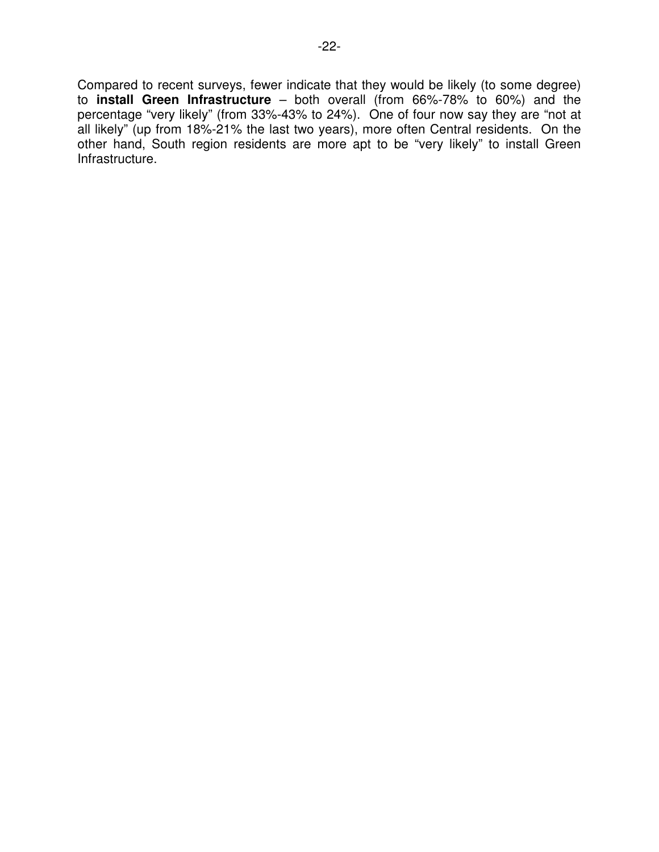Compared to recent surveys, fewer indicate that they would be likely (to some degree) to **install Green Infrastructure** – both overall (from 66%-78% to 60%) and the percentage "very likely" (from 33%-43% to 24%). One of four now say they are "not at all likely" (up from 18%-21% the last two years), more often Central residents. On the other hand, South region residents are more apt to be "very likely" to install Green Infrastructure.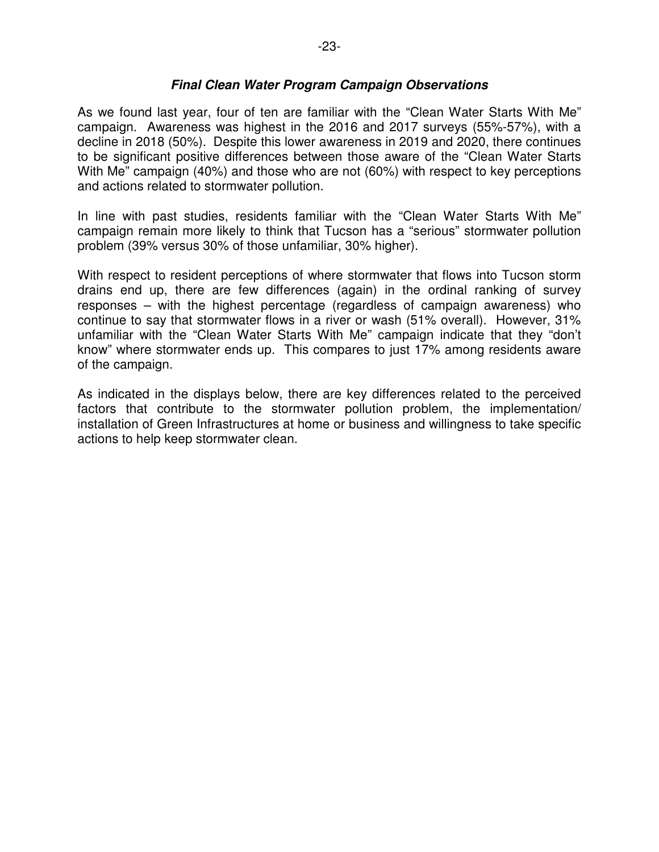### **Final Clean Water Program Campaign Observations**

As we found last year, four of ten are familiar with the "Clean Water Starts With Me" campaign. Awareness was highest in the 2016 and 2017 surveys (55%-57%), with a decline in 2018 (50%). Despite this lower awareness in 2019 and 2020, there continues to be significant positive differences between those aware of the "Clean Water Starts With Me" campaign (40%) and those who are not (60%) with respect to key perceptions and actions related to stormwater pollution.

In line with past studies, residents familiar with the "Clean Water Starts With Me" campaign remain more likely to think that Tucson has a "serious" stormwater pollution problem (39% versus 30% of those unfamiliar, 30% higher).

With respect to resident perceptions of where stormwater that flows into Tucson storm drains end up, there are few differences (again) in the ordinal ranking of survey responses – with the highest percentage (regardless of campaign awareness) who continue to say that stormwater flows in a river or wash (51% overall). However, 31% unfamiliar with the "Clean Water Starts With Me" campaign indicate that they "don't know" where stormwater ends up. This compares to just 17% among residents aware of the campaign.

As indicated in the displays below, there are key differences related to the perceived factors that contribute to the stormwater pollution problem, the implementation/ installation of Green Infrastructures at home or business and willingness to take specific actions to help keep stormwater clean.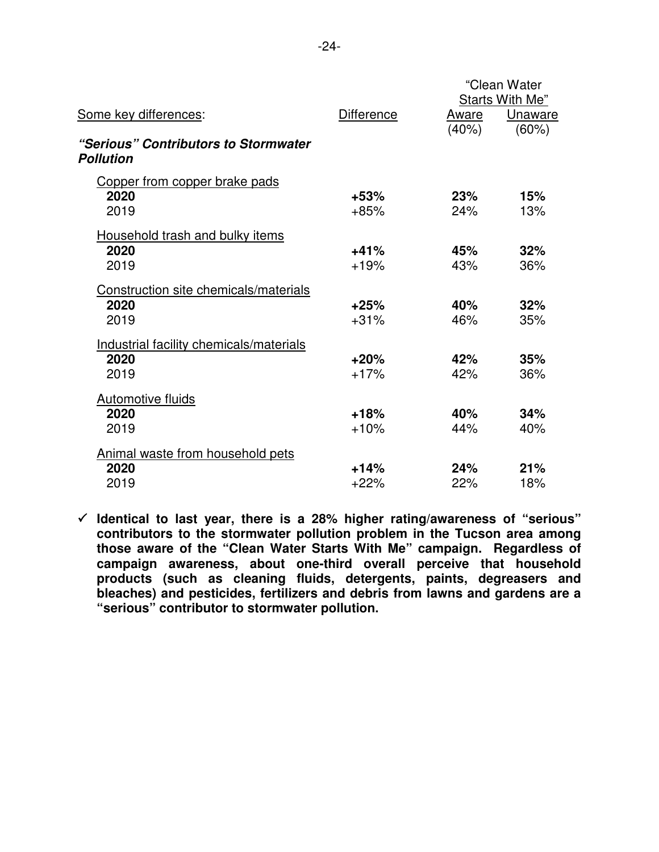|                                                          |                   |            | "Clean Water<br><b>Starts With Me"</b> |
|----------------------------------------------------------|-------------------|------------|----------------------------------------|
| Some key differences:                                    | <b>Difference</b> | Aware      | Unaware                                |
| "Serious" Contributors to Stormwater<br><b>Pollution</b> |                   | (40%)      | $(60\%)$                               |
| Copper from copper brake pads<br>2020<br>2019            | $+53%$<br>$+85%$  | 23%<br>24% | 15%<br>13%                             |
| Household trash and bulky items<br>2020<br>2019          | $+41%$<br>$+19%$  | 45%<br>43% | 32%<br>36%                             |
| Construction site chemicals/materials<br>2020<br>2019    | $+25%$<br>$+31%$  | 40%<br>46% | 32%<br>35%                             |
| Industrial facility chemicals/materials<br>2020<br>2019  | $+20%$<br>$+17%$  | 42%<br>42% | 35%<br>36%                             |
| <b>Automotive fluids</b><br>2020<br>2019                 | $+18%$<br>$+10%$  | 40%<br>44% | 34%<br>40%                             |
| <b>Animal waste from household pets</b><br>2020<br>2019  | $+14%$<br>$+22%$  | 24%<br>22% | 21%<br>18%                             |

 **Identical to last year, there is a 28% higher rating/awareness of "serious" contributors to the stormwater pollution problem in the Tucson area among those aware of the "Clean Water Starts With Me" campaign. Regardless of campaign awareness, about one-third overall perceive that household products (such as cleaning fluids, detergents, paints, degreasers and bleaches) and pesticides, fertilizers and debris from lawns and gardens are a "serious" contributor to stormwater pollution.**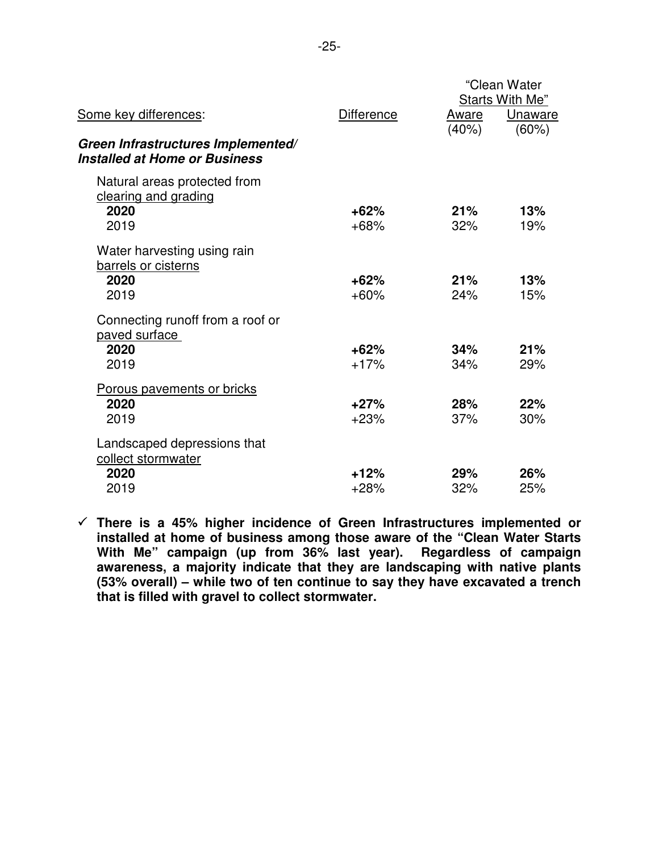|                                                                            |                   |       | "Clean Water<br>Starts With Me" |
|----------------------------------------------------------------------------|-------------------|-------|---------------------------------|
| Some key differences:                                                      | <b>Difference</b> | Aware | Unaware                         |
| Green Infrastructures Implemented/<br><b>Installed at Home or Business</b> |                   | (40%) | $(60\%)$                        |
| Natural areas protected from<br>clearing and grading                       |                   |       |                                 |
| 2020                                                                       | $+62%$            | 21%   | 13%                             |
| 2019                                                                       | $+68%$            | 32%   | 19%                             |
| Water harvesting using rain<br>barrels or cisterns                         |                   |       |                                 |
| 2020                                                                       | $+62%$            | 21%   | 13%                             |
| 2019                                                                       | $+60%$            | 24%   | 15%                             |
| Connecting runoff from a roof or<br>paved surface                          |                   |       |                                 |
| 2020                                                                       | $+62%$            | 34%   | 21%                             |
| 2019                                                                       | $+17%$            | 34%   | 29%                             |
| <b>Porous pavements or bricks</b>                                          |                   |       |                                 |
| 2020                                                                       | $+27%$            | 28%   | 22%                             |
| 2019                                                                       | $+23%$            | 37%   | 30%                             |
| Landscaped depressions that<br>collect stormwater                          |                   |       |                                 |
| 2020                                                                       | $+12%$            | 29%   | 26%                             |
| 2019                                                                       | $+28%$            | 32%   | 25%                             |
|                                                                            |                   |       |                                 |

 **There is a 45% higher incidence of Green Infrastructures implemented or installed at home of business among those aware of the "Clean Water Starts With Me" campaign (up from 36% last year). Regardless of campaign awareness, a majority indicate that they are landscaping with native plants (53% overall) – while two of ten continue to say they have excavated a trench that is filled with gravel to collect stormwater.**